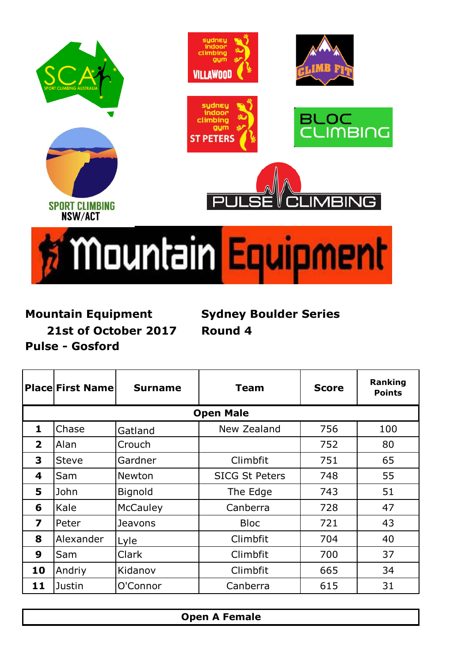

## **Mountain Equipment**

**Mountain Equipment Sydney Boulder Series 21st of October 2017 Round 4**

**Place First Name Surname Team** Score Ranking **Points** Chase  $\begin{array}{|c|c|c|c|c|c|} \hline \end{array}$  New Zealand | 756 | 100 Alan | Crouch | 752 | 80 Steve | Gardner | Climbfit | 751 | 65 Sam Newton | SICG St Peters | 748 | 55 John Bignold | The Edge | 743 | 51 Kale McCauley | Canberra | 728 | 47 Peter | Jeavons | Bloc | 721 | 43 Alexander Lyle 1 Climbfit 1 704 1 40 Sam | Clark | Climbfit | 700 | 37 Andriy | Kidanov | Climbfit | 665 | 34 Justin | O'Connor | Canberra | 615 | 31 **Open Male**

**Pulse - Gosford**

**Open A Female**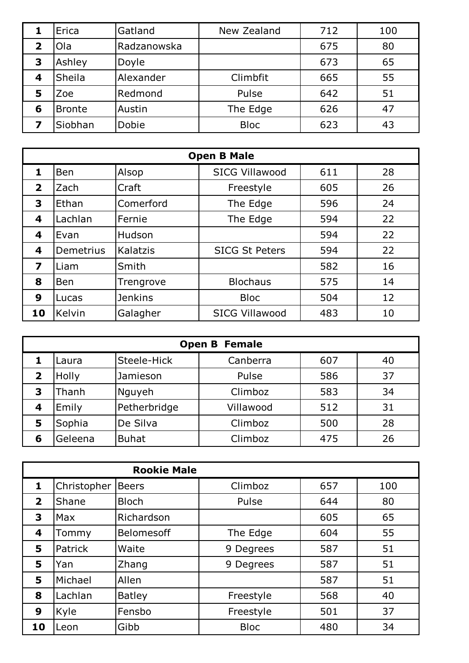|             | Erica         | Gatland     | New Zealand | 712 | 100 |
|-------------|---------------|-------------|-------------|-----|-----|
| $\mathbf 2$ | Ola           | Radzanowska |             | 675 | 80  |
| 3           | Ashley        | Doyle       |             | 673 | 65  |
| 4           | Sheila        | Alexander   | Climbfit    | 665 | 55  |
| 5           | Zoe           | Redmond     | Pulse       | 642 | 51  |
| 6           | <b>Bronte</b> | Austin      | The Edge    | 626 | 47  |
|             | Siobhan       | Dobie       | <b>Bloc</b> | 623 | 43  |

|                         | <b>Open B Male</b> |                |                       |     |    |  |  |  |
|-------------------------|--------------------|----------------|-----------------------|-----|----|--|--|--|
| 1                       | <b>Ben</b>         | Alsop          | <b>SICG Villawood</b> | 611 | 28 |  |  |  |
| $\overline{\mathbf{2}}$ | Zach               | Craft          | Freestyle             | 605 | 26 |  |  |  |
| 3                       | Ethan              | Comerford      | The Edge              | 596 | 24 |  |  |  |
| 4                       | Lachlan            | Fernie         | The Edge              | 594 | 22 |  |  |  |
| 4                       | Evan               | Hudson         |                       | 594 | 22 |  |  |  |
| 4                       | Demetrius          | Kalatzis       | <b>SICG St Peters</b> | 594 | 22 |  |  |  |
| 7                       | Liam               | Smith          |                       | 582 | 16 |  |  |  |
| 8                       | <b>Ben</b>         | Trengrove      | <b>Blochaus</b>       | 575 | 14 |  |  |  |
| 9                       | Lucas              | <b>Jenkins</b> | <b>Bloc</b>           | 504 | 12 |  |  |  |
| 10                      | Kelvin             | Galagher       | <b>SICG Villawood</b> | 483 | 10 |  |  |  |

|   | <b>Open B Female</b> |              |           |     |    |  |  |  |
|---|----------------------|--------------|-----------|-----|----|--|--|--|
|   | Laura                | Steele-Hick  | Canberra  | 607 | 40 |  |  |  |
| 2 | Holly                | Jamieson     | Pulse     | 586 | 37 |  |  |  |
| 3 | Thanh                | Nguyeh       | Climboz   | 583 | 34 |  |  |  |
| 4 | Emily                | Petherbridge | Villawood | 512 | 31 |  |  |  |
| 5 | Sophia               | De Silva     | Climboz   | 500 | 28 |  |  |  |
| 6 | Geleena              | <b>Buhat</b> | Climboz   | 475 | 26 |  |  |  |

|                | <b>Rookie Male</b> |               |             |     |     |  |  |  |
|----------------|--------------------|---------------|-------------|-----|-----|--|--|--|
| 1              | Christopher        | <b>Beers</b>  | Climboz     | 657 | 100 |  |  |  |
| $\overline{2}$ | Shane              | <b>Bloch</b>  | Pulse       | 644 | 80  |  |  |  |
| 3              | <b>Max</b>         | Richardson    |             | 605 | 65  |  |  |  |
| 4              | Tommy              | Belomesoff    | The Edge    | 604 | 55  |  |  |  |
| 5              | Patrick            | Waite         | 9 Degrees   | 587 | 51  |  |  |  |
| 5              | Yan                | Zhang         | 9 Degrees   | 587 | 51  |  |  |  |
| 5              | Michael            | Allen         |             | 587 | 51  |  |  |  |
| 8              | Lachlan            | <b>Batley</b> | Freestyle   | 568 | 40  |  |  |  |
| 9              | Kyle               | Fensbo        | Freestyle   | 501 | 37  |  |  |  |
| 10             | Leon               | Gibb          | <b>Bloc</b> | 480 | 34  |  |  |  |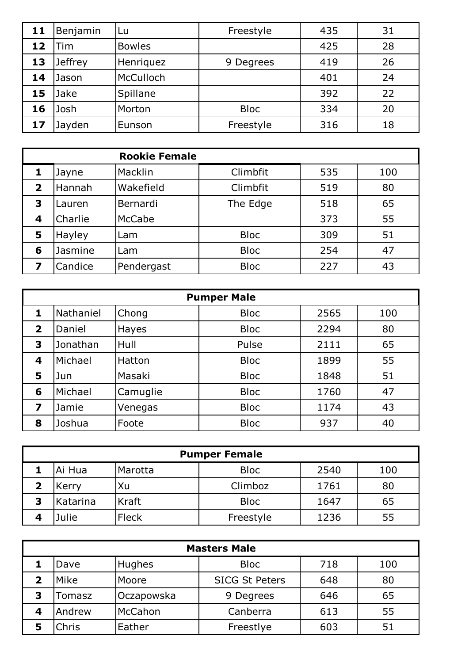| 11 | Benjamin       | Lu            | Freestyle   | 435 | 31 |
|----|----------------|---------------|-------------|-----|----|
| 12 | Tim            | <b>Bowles</b> |             | 425 | 28 |
| 13 | <b>Jeffrey</b> | Henriquez     | 9 Degrees   | 419 | 26 |
| 14 | Jason          | McCulloch     |             | 401 | 24 |
| 15 | Jake           | Spillane      |             | 392 | 22 |
| 16 | Josh           | Morton        | <b>Bloc</b> | 334 | 20 |
| 17 | Jayden         | Eunson        | Freestyle   | 316 | 18 |

| <b>Rookie Female</b> |         |               |             |     |     |
|----------------------|---------|---------------|-------------|-----|-----|
|                      | Jayne   | Macklin       | Climbfit    | 535 | 100 |
| 2                    | Hannah  | Wakefield     | Climbfit    | 519 | 80  |
| 3                    | Lauren  | Bernardi      | The Edge    | 518 | 65  |
| 4                    | Charlie | <b>McCabe</b> |             | 373 | 55  |
| 5                    | Hayley  | Lam           | <b>Bloc</b> | 309 | 51  |
| 6                    | Jasmine | Lam           | <b>Bloc</b> | 254 | 47  |
| 7                    | Candice | Pendergast    | <b>Bloc</b> | 227 | 43  |

|                         | <b>Pumper Male</b> |          |             |      |     |  |  |  |  |
|-------------------------|--------------------|----------|-------------|------|-----|--|--|--|--|
| 1                       | Nathaniel          | Chong    | <b>Bloc</b> | 2565 | 100 |  |  |  |  |
| $\overline{\mathbf{2}}$ | Daniel             | Hayes    | <b>Bloc</b> | 2294 | 80  |  |  |  |  |
| 3                       | Jonathan           | Hull     | Pulse       | 2111 | 65  |  |  |  |  |
| 4                       | Michael            | Hatton   | <b>Bloc</b> | 1899 | 55  |  |  |  |  |
| 5                       | Jun                | Masaki   | <b>Bloc</b> | 1848 | 51  |  |  |  |  |
| 6                       | Michael            | Camuglie | <b>Bloc</b> | 1760 | 47  |  |  |  |  |
| 7                       | Jamie              | Venegas  | <b>Bloc</b> | 1174 | 43  |  |  |  |  |
| 8                       | Joshua             | Foote    | <b>Bloc</b> | 937  | 40  |  |  |  |  |

| <b>Pumper Female</b> |              |             |      |     |  |  |  |
|----------------------|--------------|-------------|------|-----|--|--|--|
| Ai Hua               | Marotta      | <b>Bloc</b> | 2540 | 100 |  |  |  |
| Kerry                | Xu           | Climboz     | 1761 | 80  |  |  |  |
| Katarina             | <b>Kraft</b> | <b>Bloc</b> | 1647 | 65  |  |  |  |
| Julie                | Fleck        | Freestyle   | 1236 | 55  |  |  |  |

|   | <b>Masters Male</b> |            |                       |     |     |  |  |  |
|---|---------------------|------------|-----------------------|-----|-----|--|--|--|
|   | Dave                | Hughes     | <b>Bloc</b>           | 718 | 100 |  |  |  |
|   | Mike                | Moore      | <b>SICG St Peters</b> | 648 | 80  |  |  |  |
| 3 | Tomasz              | Oczapowska | 9 Degrees             | 646 | 65  |  |  |  |
|   | Andrew              | McCahon    | Canberra              | 613 | 55  |  |  |  |
|   | Chris               | Eather     | Freestlye             | 603 | 51  |  |  |  |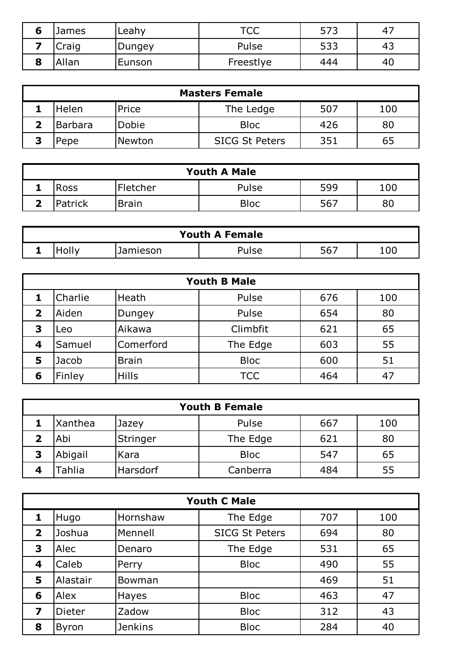|   | James | Leahy  | TCC.<br>$\sim$ | 573 | 4 <sub>1</sub> |
|---|-------|--------|----------------|-----|----------------|
|   | Craig | Dungey | Pulse          | 533 | 4ூ             |
| О | Allan | Eunson | Freestlye      | 444 | 40             |

| <b>Masters Female</b> |                |        |                       |     |     |  |  |
|-----------------------|----------------|--------|-----------------------|-----|-----|--|--|
|                       | Helen          | Price  | The Ledge             | 507 | 100 |  |  |
|                       | <b>Barbara</b> | Dobie  | <b>Bloc</b>           | 426 | 80  |  |  |
|                       | Pepe           | Newton | <b>SICG St Peters</b> | 351 | 65  |  |  |

| <b>Youth A Male</b> |         |                  |             |     |     |  |  |  |
|---------------------|---------|------------------|-------------|-----|-----|--|--|--|
|                     | Ross    | <b>IFletcher</b> | Pulse       | 599 | 100 |  |  |  |
|                     | Patrick | <b>Brain</b>     | <b>Bloc</b> | 567 | 80  |  |  |  |

| <b>Youth A Female</b> |       |          |                   |     |     |  |
|-----------------------|-------|----------|-------------------|-----|-----|--|
|                       | HOlly | Jamieson | <sup>ን</sup> ulse | 567 | 100 |  |

| <b>Youth B Male</b> |         |              |             |     |     |  |
|---------------------|---------|--------------|-------------|-----|-----|--|
|                     | Charlie | Heath        | Pulse       | 676 | 100 |  |
| $\mathbf{2}$        | Aiden   | Dungey       | Pulse       | 654 | 80  |  |
| 3                   | Leo     | Aikawa       | Climbfit    | 621 | 65  |  |
| 4                   | Samuel  | Comerford    | The Edge    | 603 | 55  |  |
| 5                   | Jacob   | <b>Brain</b> | <b>Bloc</b> | 600 | 51  |  |
| 6                   | Finley  | <b>Hills</b> | <b>TCC</b>  | 464 | 47  |  |

| Xanthea      |          |             |     |     |
|--------------|----------|-------------|-----|-----|
|              | Jazey    | Pulse       | 667 | 100 |
| Abi          | Stringer | The Edge    | 621 | 80  |
| Abigail<br>3 | Kara     | <b>Bloc</b> | 547 | 65  |
| Tahlia<br>4  | Harsdorf | Canberra    | 484 | 55  |

| <b>Youth C Male</b>     |               |                |                       |     |     |  |
|-------------------------|---------------|----------------|-----------------------|-----|-----|--|
|                         | Hugo          | Hornshaw       | The Edge              | 707 | 100 |  |
| $\overline{\mathbf{2}}$ | Joshua        | Mennell        | <b>SICG St Peters</b> | 694 | 80  |  |
| 3                       | Alec          | Denaro         | The Edge              | 531 | 65  |  |
| 4                       | Caleb         | Perry          | <b>Bloc</b>           | 490 | 55  |  |
| 5                       | Alastair      | Bowman         |                       | 469 | 51  |  |
| 6                       | Alex          | <b>Hayes</b>   | <b>Bloc</b>           | 463 | 47  |  |
| 7                       | <b>Dieter</b> | Zadow          | <b>Bloc</b>           | 312 | 43  |  |
| 8                       | <b>Byron</b>  | <b>Jenkins</b> | <b>Bloc</b>           | 284 | 40  |  |